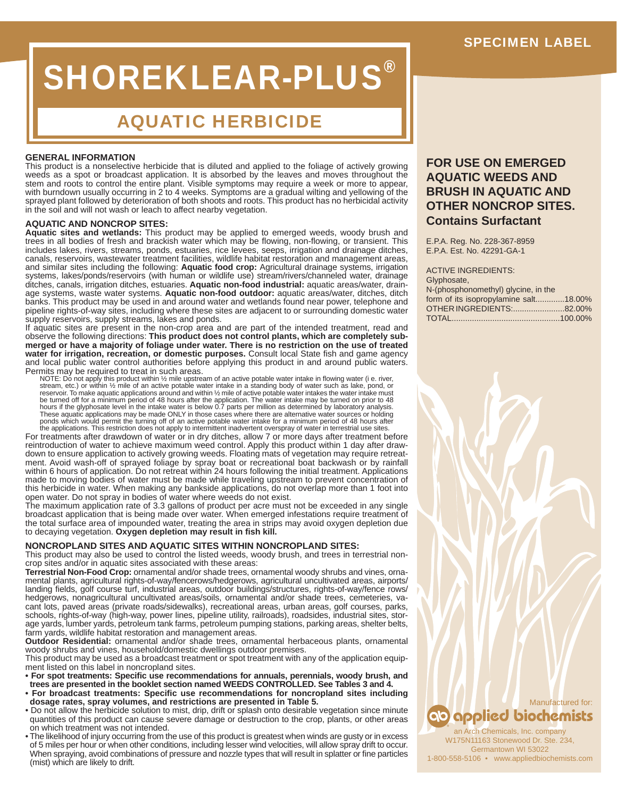# SHOREKLEAR-PLUS®

### AQUATIC HERBICIDE

### **GENERAL INFORMATION**

This product is a nonselective herbicide that is diluted and applied to the foliage of actively growing weeds as a spot or broadcast application. It is absorbed by the leaves and moves throughout the stem and roots to control the entire plant. Visible symptoms may require a week or more to appear, with burndown usually occurring in 2 to 4 weeks. Symptoms are a gradual wilting and yellowing of the sprayed plant followed by deterioration of both shoots and roots. This product has no herbicidal activity in the soil and will not wash or leach to affect nearby vegetation.

### **AQUATIC AND NONCROP SITES:**

**Aquatic sites and wetlands:** This product may be applied to emerged weeds, woody brush and trees in all bodies of fresh and brackish water which may be flowing, non-flowing, or transient. This includes lakes, rivers, streams, ponds, estuaries, rice levees, seeps, irrigation and drainage ditches, canals, reservoirs, wastewater treatment facilities, wildlife habitat restoration and management areas, and similar sites including the following: **Aquatic food crop:** Agricultural drainage systems, irrigation systems, lakes/ponds/reservoirs (with human or wildlife use) stream/rivers/channeled water, drainage ditches, canals, irrigation ditches, estuaries. **Aquatic non-food industrial:** aquatic areas/water, drainage systems, waste water systems. **Aquatic non-food outdoor:** aquatic areas/water, ditches, ditch banks. This product may be used in and around water and wetlands found near power, telephone and pipeline rights-of-way sites, including where these sites are adjacent to or surrounding domestic water supply reservoirs, supply streams, lakes and ponds.

If aquatic sites are present in the non-crop area and are part of the intended treatment, read and observe the following directions: **This product does not control plants, which are completely submerged or have a majority of foliage under water. There is no restriction on the use of treated**  water for irrigation, recreation, or domestic purposes. Consult local State fish and game agency and local public water control authorities before applying this product in and around public waters. Permits may be required to treat in such areas.

NOTE: Do not apply this product within ½ mile upstream of an active potable water intake in flowing water (i e. river,<br>stream, etc.) or within ½ mile of an active potable water intake in a standing body of water such as l reservoir. To make aquatic applications around and within 1/2 mile of active potable water intakes the water intake must<br>be turned off for a minimum period of 48 hours after the application. The water intake may be turned

For treatments after drawdown of water or in dry ditches, allow 7 or more days after treatment before reintroduction of water to achieve maximum weed control. Apply this product within 1 day after drawdown to ensure application to actively growing weeds. Floating mats of vegetation may require retreatment. Avoid wash-off of sprayed foliage by spray boat or recreational boat backwash or by rainfall within 6 hours of application. Do not retreat within 24 hours following the initial treatment. Applications made to moving bodies of water must be made while traveling upstream to prevent concentration of this herbicide in water. When making any bankside applications, do not overlap more than 1 foot into open water. Do not spray in bodies of water where weeds do not exist.

The maximum application rate of 3.3 gallons of product per acre must not be exceeded in any single broadcast application that is being made over water. When emerged infestations require treatment of the total surface area of impounded water, treating the area in strips may avoid oxygen depletion due to decaying vegetation. Oxygen depletion may result in fish kill.

### **NONCROPLAND SITES AND AQUATIC SITES WITHIN NONCROPLAND SITES:**

This product may also be used to control the listed weeds, woody brush, and trees in terrestrial noncrop sites and/or in aquatic sites associated with these areas:

**Terrestrial Non-Food Crop:** ornamental and/or shade trees, ornamental woody shrubs and vines, ornamental plants, agricultural rights-of-way/fencerows/hedgerows, agricultural uncultivated areas, airports/ landing fields, golf course turf, industrial areas, outdoor buildings/structures, rights-of-way/fence rows/ hedgerows, nonagricultural uncultivated areas/soils, ornamental and/or shade trees, cemeteries, vacant lots, paved areas (private roads/sidewalks), recreational areas, urban areas, golf courses, parks, schools, rights-of-way (high-way, power lines, pipeline utility, railroads), roadsides, industrial sites, storage yards, lumber yards, petroleum tank farms, petroleum pumping stations, parking areas, shelter belts, farm yards, wildlife habitat restoration and management areas.

**Outdoor Residential:** ornamental and/or shade trees, ornamental herbaceous plants, ornamental woody shrubs and vines, household/domestic dwellings outdoor premises.

This product may be used as a broadcast treatment or spot treatment with any of the application equipment listed on this label in noncropland sites.

**• For spot treatments: Specifi c use recommendations for annuals, perennials, woody brush, and trees are presented in the booklet section named WEEDS CONTROLLED. See Tables 3 and 4.**

- **For broadcast treatments: Specifi c use recommendations for noncropland sites including dosage rates, spray volumes, and restrictions are presented in Table 5.**
- Do not allow the herbicide solution to mist, drip, drift or splash onto desirable vegetation since minute quantities of this product can cause severe damage or destruction to the crop, plants, or other areas on which treatment was not intended.
- The likelihood of injury occurring from the use of this product is greatest when winds are gusty or in excess of 5 miles per hour or when other conditions, including lesser wind velocities, will allow spray drift to occur. When spraying, avoid combinations of pressure and nozzle types that will result in splatter or fine particles (mist) which are likely to drift.

### **FOR USE ON EMERGED AQUATIC WEEDS AND BRUSH IN AQUATIC AND OTHER NONCROP SITES. Contains Surfactant**

E.P.A. Reg. No. 228-367-8959 E.P.A. Est. No. 42291-GA-1

ACTIVE INGREDIENTS:

| Glyphosate,                           |
|---------------------------------------|
| N-(phosphonomethyl) glycine, in the   |
| form of its isopropylamine salt18.00% |
| OTHER INGREDIENTS:82.00%              |
|                                       |



an Arch Chemicals, Inc. company W175N11163 Stonewood Dr. Ste. 234, Germantown WI 53022 1-800-558-5106 • www.appliedbiochemists.com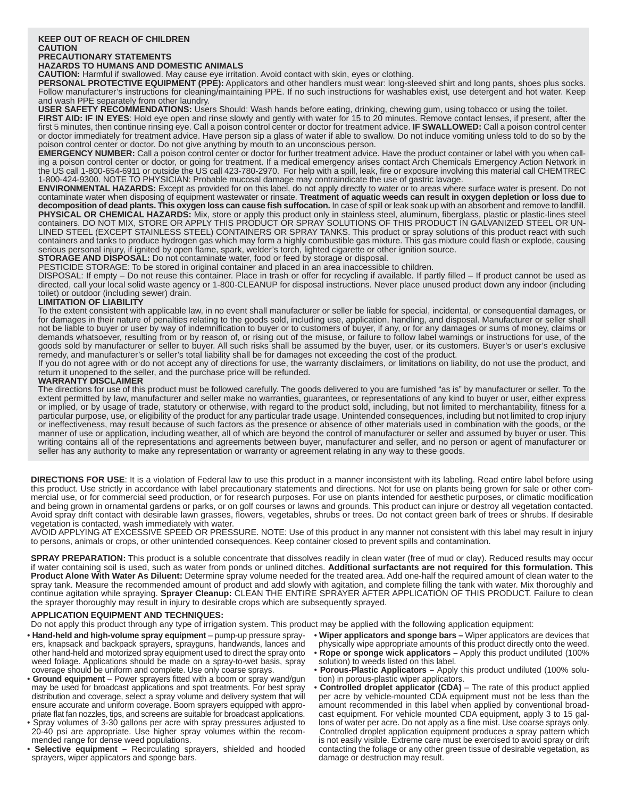### **KEEP OUT OF REACH OF CHILDREN CAUTION**

### **PRECAUTIONARY STATEMENTS**

**HAZARDS TO HUMANS AND DOMESTIC ANIMALS**

**CAUTION:** Harmful if swallowed. May cause eye irritation. Avoid contact with skin, eyes or clothing.

**PERSONAL PROTECTIVE EQUIPMENT (PPE):** Applicators and other handlers must wear: long-sleeved shirt and long pants, shoes plus socks. Follow manufacturer's instructions for cleaning/maintaining PPE. If no such instructions for washables exist, use detergent and hot water. Keep and wash PPE separately from other laundry.

**USER SAFETY RECOMMENDATIONS:** Users Should: Wash hands before eating, drinking, chewing gum, using tobacco or using the toilet.

**FIRST AID: IF IN EYES**: Hold eye open and rinse slowly and gently with water for 15 to 20 minutes. Remove contact lenses, if present, after the first 5 minutes, then continue rinsing eye. Call a poison control center or doctor for treatment advice. **IF SWALLOWED:** Call a poison control center or doctor immediately for treatment advice. Have person sip a glass of water if able to swallow. Do not induce vomiting unless told to do so by the poison control center or doctor. Do not give anything by mouth to an unconscious person.

**EMERGENCY NUMBER:** Call a poison control center or doctor for further treatment advice. Have the product container or label with you when calling a poison control center or doctor, or going for treatment. If a medical emergency arises contact Arch Chemicals Emergency Action Network in the US call 1-800-654-6911 or outside the US call 423-780-2970. For help with a spill, leak, fire or exposure involving this material call CHEMTREC 1-800-424-9300. NOTE TO PHYSICIAN: Probable mucosal damage may contraindicate the use of gastric lavage.

**ENVIRONMENTAL HAZARDS:** Except as provided for on this label, do not apply directly to water or to areas where surface water is present. Do not contaminate water when disposing of equipment wastewater or rinsate. **Treatment of aquatic weeds can result in oxygen depletion or loss due to**  decomposition of dead plants. This oxygen loss can cause fish suffocation. In case of spill or leak soak up with an absorbent and remove to landfill. PHYSICAL OR CHEMICAL HAZARDS: Mix, store or apply this product only in stainless steel, aluminum, fiberglass, plastic or plastic-lines steel containers. DO NOT MIX, STORE OR APPLY THIS PRODUCT OR SPRAY SOLUTIONS OF THIS PRODUCT IN GALVANIZED STEEL OR UN-LINED STEEL (EXCEPT STAINLESS STEEL) CONTAINERS OR SPRAY TANKS. This product or spray solutions of this product react with such containers and tanks to produce hydrogen gas which may form a highly combustible gas mixture. This gas mixture could flash or explode, causing serious personal injury, if ignited by open flame, spark, welder's torch, lighted cigarette or other ignition source.

**STORAGE AND DISPOSAL:** Do not contaminate water, food or feed by storage or disposal.

PESTICIDE STORAGE: To be stored in original container and placed in an area inaccessible to children.

DISPOSAL: If empty - Do not reuse this container. Place in trash or offer for recycling if available. If partly filled - If product cannot be used as directed, call your local solid waste agency or 1-800-CLEANUP for disposal instructions. Never place unused product down any indoor (including toilet) or outdoor (including sewer) drain.

### **LIMITATION OF LIABILITY**

To the extent consistent with applicable law, in no event shall manufacturer or seller be liable for special, incidental, or consequential damages, or for damages in their nature of penalties relating to the goods sold, including use, application, handling, and disposal. Manufacturer or seller shall not be liable to buyer or user by way of indemnification to buyer or to customers of buyer, if any, or for any damages or sums of money, claims or demands whatsoever, resulting from or by reason of, or rising out of the misuse, or failure to follow label warnings or instructions for use, of the goods sold by manufacturer or seller to buyer. All such risks shall be assumed by the buyer, user, or its customers. Buyer's or user's exclusive remedy, and manufacturer's or seller's total liability shall be for damages not exceeding the cost of the product.

If you do not agree with or do not accept any of directions for use, the warranty disclaimers, or limitations on liability, do not use the product, and return it unopened to the seller, and the purchase price will be refunded.

### **WARRANTY DISCLAIMER**

The directions for use of this product must be followed carefully. The goods delivered to you are furnished "as is" by manufacturer or seller. To the extent permitted by law, manufacturer and seller make no warranties, guarantees, or representations of any kind to buyer or user, either express or implied, or by usage of trade, statutory or otherwise, with regard to the product sold, including, but not limited to merchantability, fitness for a particular purpose, use, or eligibility of the product for any particular trade usage. Unintended consequences, including but not limited to crop injury or ineffectiveness, may result because of such factors as the presence or absence of other materials used in combination with the goods, or the manner of use or application, including weather, all of which are beyond the control of manufacturer or seller and assumed by buyer or user. This writing contains all of the representations and agreements between buyer, manufacturer and seller, and no person or agent of manufacturer or seller has any authority to make any representation or warranty or agreement relating in any way to these goods.

**DIRECTIONS FOR USE**: It is a violation of Federal law to use this product in a manner inconsistent with its labeling. Read entire label before using this product. Use strictly in accordance with label precautionary statements and directions. Not for use on plants being grown for sale or other commercial use, or for commercial seed production, or for research purposes. For use on plants intended for aesthetic purposes, or climatic modification and being grown in ornamental gardens or parks, or on golf courses or lawns and grounds. This product can injure or destroy all vegetation contacted. Avoid spray drift contact with desirable lawn grasses, flowers, vegetables, shrubs or trees. Do not contact green bark of trees or shrubs. If desirable vegetation is contacted, wash immediately with water.

AVOID APPLYING AT EXCESSIVE SPEED OR PRESSURE. NOTE: Use of this product in any manner not consistent with this label may result in injury to persons, animals or crops, or other unintended consequences. Keep container closed to prevent spills and contamination.

SPRAY PREPARATION: This product is a soluble concentrate that dissolves readily in clean water (free of mud or clay). Reduced results may occur if water containing soil is used, such as water from ponds or unlined ditches. **Additional surfactants are not required for this formulation. This Product Alone With Water As Diluent:** Determine spray volume needed for the treated area. Add one-half the required amount of clean water to the spray tank. Measure the recommended amount of product and add slowly with agitation, and complete filling the tank with water. Mix thoroughly and continue agitation while spraying. **Sprayer Cleanup:** CLEAN THE ENTIRE SPRAYER AFTER APPLICATION OF THIS PRODUCT. Failure to clean the sprayer thoroughly may result in injury to desirable crops which are subsequently sprayed.

### **APPLICATION EQUIPMENT AND TECHNIQUES:**

Do not apply this product through any type of irrigation system. This product may be applied with the following application equipment:

- **Hand-held and high-volume spray equipment** pump-up pressure sprayers, knapsack and backpack sprayers, sprayguns, handwands, lances and other hand-held and motorized spray equipment used to direct the spray onto weed foliage. Applications should be made on a spray-to-wet basis, spray coverage should be uniform and complete. Use only coarse sprays.
- Ground equipment Power sprayers fitted with a boom or spray wand/gun may be used for broadcast applications and spot treatments. For best spray distribution and coverage, select a spray volume and delivery system that will ensure accurate and uniform coverage. Boom sprayers equipped with appropriate flat fan nozzles, tips, and screens are suitable for broadcast applications.
- Spray volumes of 3-30 gallons per acre with spray pressures adjusted to 20-40 psi are appropriate. Use higher spray volumes within the recommended range for dense weed populations.
- **Selective equipment** Recirculating sprayers, shielded and hooded sprayers, wiper applicators and sponge bars.
- **Wiper applicators and sponge bars –** Wiper applicators are devices that physically wipe appropriate amounts of this product directly onto the weed.
- **Rope or sponge wick applicators –** Apply this product undiluted (100% solution) to weeds listed on this label.
- **Porous-Plastic Applicators** Apply this product undiluted (100% solution) in porous-plastic wiper applicators.
- **Controlled droplet appIicator (CDA)**  The rate of this product applied per acre by vehicle-mounted CDA equipment must not be less than the amount recommended in this label when applied by conventional broadcast equipment. For vehicle mounted CDA equipment, apply 3 to 15 gallons of water per acre. Do not apply as a fine mist. Use coarse sprays only. Controlled droplet application equipment produces a spray pattern which is not easily visible. Extreme care must be exercised to avoid spray or drift contacting the foliage or any other green tissue of desirable vegetation, as damage or destruction may result.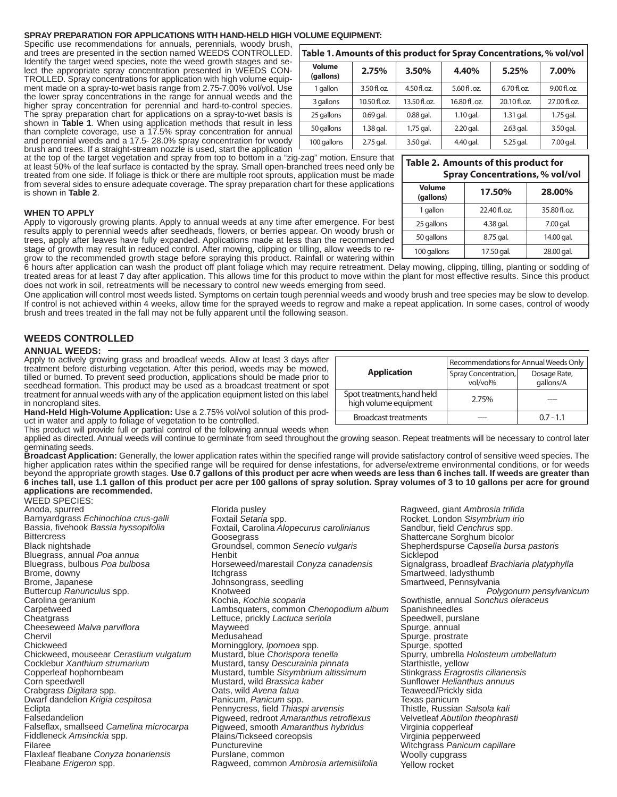### **SPRAY PREPARATION FOR APPLICATIONS WITH HAND-HELD HIGH VOLUME EQUIPMENT:**

Specific use recommendations for annuals, perennials, woody brush, and trees are presented in the section named WEEDS CONTROLLED. Identify the target weed species, note the weed growth stages and select the appropriate spray concentration presented in WEEDS CON-TROLLED. Spray concentrations for application with high volume equipment made on a spray-to-wet basis range from 2.75-7.00% vol/vol. Use the lower spray concentrations in the range for annual weeds and the higher spray concentration for perennial and hard-to-control species. The spray preparation chart for applications on a spray-to-wet basis is shown in **Table 1**. When using application methods that result in less than complete coverage, use a 17.5% spray concentration for annual and perennial weeds and a 17.5- 28.0% spray concentration for woody brush and trees. If a straight-stream nozzle is used, start the application

at the top of the target vegetation and spray from top to bottom in a "zig-zag" motion. Ensure that at least 50% of the leaf surface is contacted by the spray. Small open-branched trees need only be treated from one side. If foliage is thick or there are multiple root sprouts, application must be made from several sides to ensure adequate coverage. The spray preparation chart for these applications is shown in **Table 2**.

### **WHEN TO APPLY**

Apply to vigorously growing plants. Apply to annual weeds at any time after emergence. For best results apply to perennial weeds after seedheads, flowers, or berries appear. On woody brush or trees, apply after leaves have fully expanded. Applications made at less than the recommended stage of growth may result in reduced control. After mowing, clipping or tilling, allow weeds to regrow to the recommended growth stage before spraying this product. Rainfall or watering within

6 hours after application can wash the product off plant foliage which may require retreatment. Delay mowing, clipping, tilling, planting or sodding of treated areas for at least 7 day after application. This allows time for this product to move within the plant for most effective results. Since this product does not work in soil, retreatments will be necessary to control new weeds emerging from seed.

One application will control most weeds listed. Symptoms on certain tough perennial weeds and woody brush and tree species may be slow to develop. If control is not achieved within 4 weeks, allow time for the sprayed weeds to regrow and make a repeat application. In some cases, control of woody brush and trees treated in the fall may not be fully apparent until the following season.

### **WEEDS CONTROLLED**

#### **ANNUAL WEEDS:**

Apply to actively growing grass and broadleaf weeds. Allow at least 3 days after treatment before disturbing vegetation. After this period, weeds may be mowed, tilled or burned. To prevent seed production, applications should be made prior to seedhead formation. This product may be used as a broadcast treatment or spot treatment for annual weeds with any of the application equipment listed on this label in noncropland sites.

**Hand-Held High-Volume Application:** Use a 2.75% vol/vol solution of this product in water and apply to foliage of vegetation to be controlled.

This product will provide full or partial control of the following annual weeds when

applied as directed. Annual weeds will continue to germinate from seed throughout the growing season. Repeat treatments will be necessary to control later germinating seeds.

Broadcast Application: Generally, the lower application rates within the specified range will provide satisfactory control of sensitive weed species. The higher application rates within the specified range will be required for dense infestations, for adverse/extreme environmental conditions, or for weeds beyond the appropriate growth stages. **Use 0.7 gallons of this product per acre when weeds are less than 6 inches tall. If weeds are greater than 6 inches tall, use 1.1 gallon of this product per acre per 100 gallons of spray solution. Spray volumes of 3 to 10 gallons per acre for ground applications are recommended.**

Florida pusley

WEED SPECIES: Anoda, spurred Barnyardgrass *Echinochloa crus-galli* Bassia, fi vehook *Bassia hyssopifolia* **Bittercress** Black nightshade Bluegrass, annual *Poa annua* Bluegrass, bulbous *Poa bulbosa* Brome, downy Brome, Japanese Buttercup *Ranunculus* spp. Carolina geranium **Carpetweed Cheatgrass** Cheeseweed *Malva parviflora* Chervil Chickweed Chickweed, mouseear *Cerastium vulgatum* Cocklebur *Xanthium strumarium* Copperleaf hophornbeam Corn speedwell Crabgrass *Digitara* spp. Dwarf dandelion *Krigia cespitosa* Eclipta **Falsedandelion** Falseflax, smallseed *Camelina microcarpa* Fiddleneck *Amsinckia* spp. Filaree FlaxIeaf fl eabane *Conyza bonariensis* Fleabane *Erigeron* spp.

Foxtail *Setaria* spp. Foxtail, Carolina *Alopecurus carolinianus* **Goosegrass** Groundsel, common *Senecio vulgaris* **Henbit** Horseweed/marestail *Conyza canadensis* **Itchgrass** Johnsongrass, seedling Knotweed Kochia, *Kochia scoparia* Lambsquaters, common *Chenopodium album* Lettuce, prickly *Lactuca seriola* Mayweed Medusahead Morningglory, *lpomoea* spp. Mustard, blue *Chorispora tenella* Mustard, tansy *Descurainia pinnata* Mustard, tumble *Sisymbrium altissimum* Mustard, wild *Brassica kaber* Oats, wild *Avena fatua* Panicum, *Panicum* spp. Pennycress, field Thiaspi arvensis Pigweed, redroot *Amaranthus retroflexus* Pigweed, smooth *Amaranthus hybridus* Plains/Tickseed coreopsis Puncturevine Purslane, common Ragweed, common *Ambrosia artemisiifolia*

Sandbur, field *Cenchrus* spp. Shattercane Sorghum bicolor Shepherdspurse *Capsella bursa pastoris* Sicklepod Signalgrass, broadleaf *Brachiaria platyphylla* Smartweed, ladysthumb Smartweed, Pennsylvania *Polygonurn pensylvanicum* Sowthistle, annual *Sonchus oleraceus* Spanishneedles Speedwell, purslane Spurge, annual Spurge, prostrate Spurge, spotted Spurry, umbrella *Holosteum umbellatum* Starthistle, yellow Stinkgrass *Eragrostis cilianensis* Sunflower *Helianthus annuus* Teaweed/Prickly sida Texas panicum Thistle, Russian *Salsola kali* Velvetleaf *Abutilon theophrasti* Virginia copperleaf Virginia pepperweed Witchgrass *Panicum capillare* Woolly cupgrass Yellow rocket

| Table 1. Amounts of this product for Spray Concentrations, % vol/vol |              |              |              |               |              |
|----------------------------------------------------------------------|--------------|--------------|--------------|---------------|--------------|
| Volume<br>(gallons)                                                  | 2.75%        | 3.50%        | 4.40%        | 5.25%         | 7.00%        |
| 1 gallon                                                             | 3.50 fl. oz. | 4.50 fl.oz.  | 5.60 fl.oz.  | $6.70$ fl.oz. | 9.00 fl. oz. |
| 3 gallons                                                            | 10.50 fl.oz. | 13.50 fl.oz. | 16.80 fl.oz. | 20.10 fl.oz.  | 27.00 fl.oz. |
| 25 gallons                                                           | $0.69$ gal.  | $0.88$ gal.  | $1.10$ gal.  | 1.31 gal.     | $1.75$ gal.  |
| 50 gallons                                                           | $1.38$ gal.  | $1.75$ gal.  | $2.20$ gal.  | 2.63 gal.     | 3.50 gal.    |
| 100 gallons                                                          | 2.75 gal.    | 3.50 gal.    | 4.40 gal.    | 5.25 gal.     | 7.00 gal.    |

|                                                     | Recommendations for Annual Weeds Only |                           |  |  |
|-----------------------------------------------------|---------------------------------------|---------------------------|--|--|
| <b>Application</b>                                  | Spray Concentration,<br>vol/vol%      | Dosage Rate,<br>gallons/A |  |  |
| Spot treatments, hand held<br>high volume equipment | 2.75%                                 |                           |  |  |
| <b>Broadcast treatments</b>                         |                                       | $0.7 - 1.1$               |  |  |

Ragweed, giant *Ambrosia trifi da* Rocket, London *Sisymbrium irio*

### **Table 2. Amounts of this product for**

| <b>Spray Concentrations, % vol/vol</b> |              |              |  |
|----------------------------------------|--------------|--------------|--|
| <b>Volume</b><br>(gallons)             | 17.50%       | 28.00%       |  |
| 1 gallon                               | 22.40 fl.oz. | 35.80 fl.oz. |  |
| 25 gallons                             | 4.38 gal.    | 7.00 gal.    |  |
| 50 gallons                             | 8.75 gal.    | 14.00 gal.   |  |
| 100 gallons                            | 17.50 gal.   | 28.00 gal.   |  |

## **Table 1. Amounts of this product for Spray Concentrations, % vol/vol**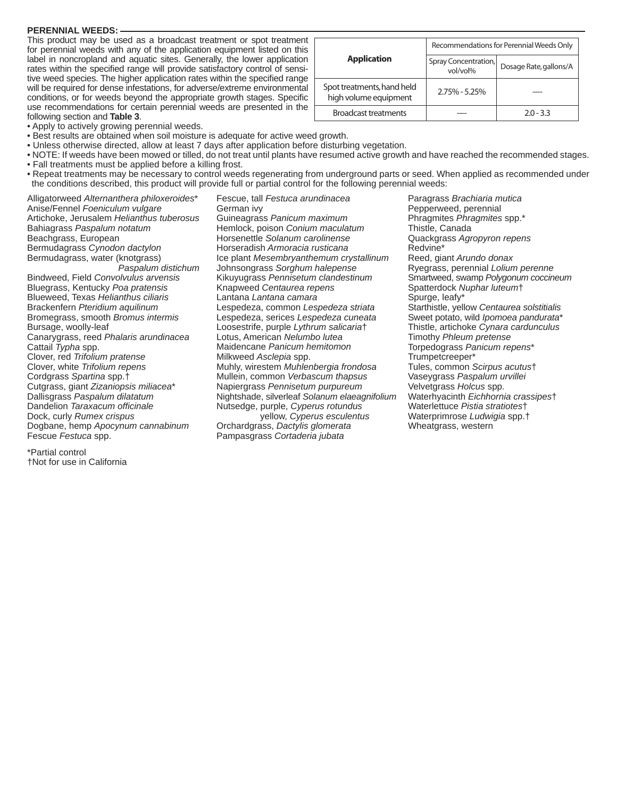### **PERENNIAL WEEDS:**

This product may be used as a broadcast treatment or spot treatment for perennial weeds with any of the application equipment listed on this label in noncropland and aquatic sites. Generally, the lower application rates within the specified range will provide satisfactory control of sensitive weed species. The higher application rates within the specified range will be required for dense infestations, for adverse/extreme environmental conditions, or for weeds beyond the appropriate growth stages. Specific use recommendations for certain perennial weeds are presented in the following section and **Table 3**.

|                                                     | Recommendations for Perennial Weeds Only |                        |  |  |
|-----------------------------------------------------|------------------------------------------|------------------------|--|--|
| <b>Application</b>                                  | Spray Concentration,<br>vol/vol%         | Dosage Rate, gallons/A |  |  |
| Spot treatments, hand held<br>high volume equipment | $2.75\% - 5.25\%$                        |                        |  |  |
| <b>Broadcast treatments</b>                         |                                          | $20 - 33$              |  |  |

• Apply to actively growing perennial weeds.

- Best results are obtained when soil moisture is adequate for active weed growth.
- Unless otherwise directed, allow at least 7 days after application before disturbing vegetation.
- NOTE: If weeds have been mowed or tilled, do not treat until plants have resumed active growth and have reached the recommended stages. • Fall treatments must be applied before a killing frost.
- Repeat treatments may be necessary to control weeds regenerating from underground parts or seed. When applied as recommended under the conditions described, this product will provide full or partial control for the following perennial weeds:

Alligatorweed *Alternanthera philoxeroides*\* Anise/Fennel *Foeniculum vulgare* Artichoke, Jerusalem *Helianthus tuberosus* Bahiagrass *Paspalum notatum* Beachgrass, European Bermudagrass *Cynodon dactylon* Bermudagrass, water (knotgrass) *Paspalum distichum* Bindweed, Field *Convolvulus arvensis* Bluegrass, Kentucky *Poa pratensis* Blueweed, Texas *Helianthus ciliaris* Brackenfern *Pteridium aquilinum* Bromegrass, smooth *Bromus intermis* Bursage, woolly-leaf Canarygrass, reed *Phalaris arundinacea* Cattail *Typha* spp. Clover, red *Trifolium pratense* Clover, white *Trifolium repens* Cordgrass *Spartina* spp.† Cutgrass, giant *Zizaniopsis miliacea*\* Dallisgrass *Paspalum dilatatum* **Dandelion** *Taraxacum* officinale Dock, curly *Rumex crispus* Dogbane, hemp *Apocynum cannabinum* Fescue *Festuca* spp.

\*Partial control †Not for use in California

Fescue, tall *Festuca arundinacea* German ivy Guineagrass *Panicum maximum* Hemlock, poison *Conium maculatum* Horsenettle *Solanum carolinense* Horseradish *Armoracia rusticana* Ice plant *Mesembryanthemum crystallinum* Johnsongrass *Sorghum halepense* Kikuyugrass *Pennisetum clandestinum* Knapweed *Centaurea repens* Lantana *Lantana camara* Lespedeza, common *Lespedeza striata* Lespedeza, serices *Lespedeza cuneata* Loosestrife, purple *Lythrum salicaria*† Lotus, American *Nelumbo lutea* Maidencane *Panicum hemitomon* Milkweed *Asclepia* spp. Muhly, wirestem *Muhlenbergia frondosa* Mullein, common *Verbascum thapsus* Napiergrass *Pennisetum purpureum* Nightshade, silverleaf *Solanum elaeagnifolium* Nutsedge, purple, *Cyperus rotundus* yellow, *Cyperus esculentus* Orchardgrass, *Dactylis glomerata* Pampasgrass *Cortaderia jubata*

Paragrass *Brachiaria mutica* Pepperweed, perennial Phragmites *Phragmites* spp.\* Thistle, Canada Quackgrass *Agropyron repens* Redvine\* Reed, giant *Arundo donax* Ryegrass, perennial *Lolium perenne* Smartweed, swamp *Polygonum coccineum* Spatterdock *Nuphar luteum*† Spurge, leafy\* Starthistle, yellow *Centaurea solstitialis* Sweet potato, wild *Ipomoea pandurata*\* Thistle, artichoke *Cynara cardunculus* Timothy *Phleum pretense* Torpedograss *Panicum repens*\* Trumpetcreeper\* Tules, common *Scirpus acutus*† Vaseygrass *Paspalum urvillei* Velvetgrass *Holcus* spp. Waterhyacinth *Eichhornia crassipes*† Waterlettuce *Pistia stratiotes*† Waterprimrose *Ludwigia* spp.† Wheatgrass, western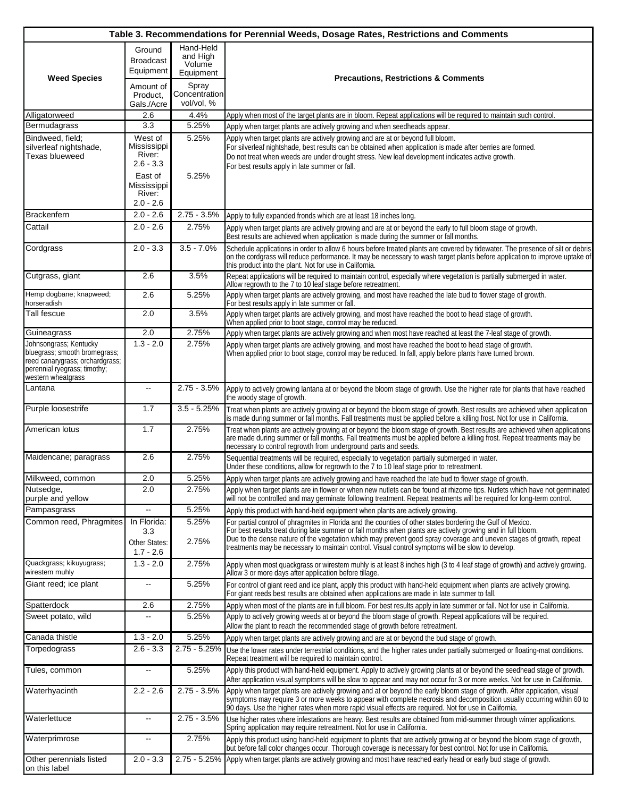|                                                                                                                                                                 |                                                                           |                                              | Table 3. Recommendations for Perennial Weeds, Dosage Rates, Restrictions and Comments                                                                                                                                                                                                                                                                                                                                                                   |
|-----------------------------------------------------------------------------------------------------------------------------------------------------------------|---------------------------------------------------------------------------|----------------------------------------------|---------------------------------------------------------------------------------------------------------------------------------------------------------------------------------------------------------------------------------------------------------------------------------------------------------------------------------------------------------------------------------------------------------------------------------------------------------|
| <b>Weed Species</b>                                                                                                                                             | Ground<br><b>Broadcast</b><br>Equipment                                   | Hand-Held<br>and High<br>Volume<br>Equipment | <b>Precautions, Restrictions &amp; Comments</b>                                                                                                                                                                                                                                                                                                                                                                                                         |
|                                                                                                                                                                 | Amount of<br>Product,<br>Gals./Acre                                       | Spray<br>Concentration<br>vol/vol, %         |                                                                                                                                                                                                                                                                                                                                                                                                                                                         |
| Alligatorweed                                                                                                                                                   | 2.6                                                                       | 4.4%                                         | Apply when most of the target plants are in bloom. Repeat applications will be required to maintain such control.                                                                                                                                                                                                                                                                                                                                       |
| Bermudagrass                                                                                                                                                    | 3.3                                                                       | 5.25%                                        | Apply when target plants are actively growing and when seedheads appear.                                                                                                                                                                                                                                                                                                                                                                                |
| Bindweed, field:<br>silverleaf nightshade,<br><b>Texas blueweed</b>                                                                                             | West of<br>Mississippi<br>River:<br>$2.6 - 3.3$<br>East of<br>Mississippi | 5.25%<br>5.25%                               | Apply when target plants are actively growing and are at or beyond full bloom.<br>For silverleaf nightshade, best results can be obtained when application is made after berries are formed.<br>Do not treat when weeds are under drought stress. New leaf development indicates active growth.<br>For best results apply in late summer or fall.                                                                                                       |
|                                                                                                                                                                 | River:<br>$2.0 - 2.6$                                                     |                                              |                                                                                                                                                                                                                                                                                                                                                                                                                                                         |
| <b>Brackenfern</b>                                                                                                                                              | $2.0 - 2.6$                                                               | $2.75 - 3.5%$                                | Apply to fully expanded fronds which are at least 18 inches long.                                                                                                                                                                                                                                                                                                                                                                                       |
| Cattail                                                                                                                                                         | $2.0 - 2.6$                                                               | 2.75%                                        | Apply when target plants are actively growing and are at or beyond the early to full bloom stage of growth.<br>Best results are achieved when application is made during the summer or fall months.                                                                                                                                                                                                                                                     |
| Cordgrass                                                                                                                                                       | $2.0 - 3.3$                                                               | $3.5 - 7.0%$                                 | Schedule applications in order to allow 6 hours before treated plants are covered by tidewater. The presence of silt or debris<br>on the cordgrass will reduce performance. It may be necessary to wash target plants before application to improve uptake of<br>this product into the plant. Not for use in California.                                                                                                                                |
| Cutgrass, giant                                                                                                                                                 | 2.6                                                                       | 3.5%                                         | Repeat applications will be required to maintain control, especially where vegetation is partially submerged in water.<br>Allow regrowth to the 7 to 10 leaf stage before retreatment.                                                                                                                                                                                                                                                                  |
| Hemp dogbane; knapweed;<br>horseradish                                                                                                                          | 2.6                                                                       | 5.25%                                        | Apply when target plants are actively growing, and most have reached the late bud to flower stage of growth.<br>For best results apply in late summer or fall.                                                                                                                                                                                                                                                                                          |
| Tall fescue                                                                                                                                                     | 2.0                                                                       | 3.5%                                         | Apply when target plants are actively growing, and most have reached the boot to head stage of growth.<br>When applied prior to boot stage, control may be reduced.                                                                                                                                                                                                                                                                                     |
| Guineagrass<br>Johnsongrass; Kentucky<br>bluegrass; smooth bromegrass;<br>reed canarygrass; orchardgrass;<br>perennial ryegrass; timothy;<br>western wheatgrass | 2.0<br>$1.3 - 2.0$                                                        | 2.75%<br>2.75%                               | Apply when target plants are actively growing and when most have reached at least the 7-leaf stage of growth.<br>Apply when target plants are actively growing, and most have reached the boot to head stage of growth.<br>When applied prior to boot stage, control may be reduced. In fall, apply before plants have turned brown.                                                                                                                    |
| Lantana                                                                                                                                                         | ц.                                                                        | $2.75 - 3.5%$                                | Apply to actively growing lantana at or beyond the bloom stage of growth. Use the higher rate for plants that have reached<br>the woody stage of growth.                                                                                                                                                                                                                                                                                                |
| Purple loosestrife                                                                                                                                              | 1.7                                                                       | $3.5 - 5.25%$                                | Treat when plants are actively growing at or beyond the bloom stage of growth. Best results are achieved when application<br>is made during summer or fall months. Fall treatments must be applied before a killing frost. Not for use in California.                                                                                                                                                                                                   |
| American lotus                                                                                                                                                  | 1.7                                                                       | 2.75%                                        | Treat when plants are actively growing at or beyond the bloom stage of growth. Best results are achieved when applications<br>are made during summer or fall months. Fall treatments must be applied before a killing frost. Repeat treatments may be<br>necessary to control regrowth from underground parts and seeds.                                                                                                                                |
| Maidencane; paragrass                                                                                                                                           | 2.6                                                                       | 2.75%                                        | Sequential treatments will be required, especially to vegetation partially submerged in water.<br>Under these conditions, allow for regrowth to the 7 to 10 leaf stage prior to retreatment.                                                                                                                                                                                                                                                            |
| Milkweed, common                                                                                                                                                | 2.0                                                                       | 5.25%                                        | Apply when target plants are actively growing and have reached the late bud to flower stage of growth.                                                                                                                                                                                                                                                                                                                                                  |
| Nutsedge,<br>purple and yellow                                                                                                                                  | 2.0                                                                       | 2.75%                                        | Apply when target plants are in flower or when new nutlets can be found at rhizome tips. Nutlets which have not germinated<br>will not be controlled and may germinate following treatment. Repeat treatments will be required for long-term control.                                                                                                                                                                                                   |
| Pampasgrass                                                                                                                                                     | ă.                                                                        | 5.25%                                        | Apply this product with hand-held equipment when plants are actively growing.                                                                                                                                                                                                                                                                                                                                                                           |
| Common reed, Phragmites                                                                                                                                         | In Florida:<br>3.3<br>Other States:<br>$1.7 - 2.6$                        | 5.25%<br>2.75%                               | For partial control of phragmites in Florida and the counties of other states bordering the Gulf of Mexico.<br>For best results treat during late summer or fall months when plants are actively growing and in full bloom.<br>Due to the dense nature of the vegetation which may prevent good spray coverage and uneven stages of growth, repeat<br>treatments may be necessary to maintain control. Visual control symptoms will be slow to develop. |
| Quackgrass; kikuyugrass;<br>wirestem muhly                                                                                                                      | $1.3 - 2.0$                                                               | 2.75%                                        | Apply when most quackgrass or wirestem muhly is at least 8 inches high (3 to 4 leaf stage of growth) and actively growing.<br>Allow 3 or more days after application before tillage.                                                                                                                                                                                                                                                                    |
| Giant reed; ice plant                                                                                                                                           | --                                                                        | 5.25%                                        | For control of giant reed and ice plant, apply this product with hand-held equipment when plants are actively growing.<br>For giant reeds best results are obtained when applications are made in late summer to fall.                                                                                                                                                                                                                                  |
| Spatterdock                                                                                                                                                     | 2.6                                                                       | 2.75%                                        | Apply when most of the plants are in full bloom. For best results apply in late summer or fall. Not for use in California.                                                                                                                                                                                                                                                                                                                              |
| Sweet potato, wild                                                                                                                                              | --                                                                        | 5.25%                                        | Apply to actively growing weeds at or beyond the bloom stage of growth. Repeat applications will be required.<br>Allow the plant to reach the recommended stage of growth before retreatment.                                                                                                                                                                                                                                                           |
| Canada thistle                                                                                                                                                  | $1.3 - 2.0$                                                               | 5.25%                                        | Apply when target plants are actively growing and are at or beyond the bud stage of growth.                                                                                                                                                                                                                                                                                                                                                             |
| Torpedograss                                                                                                                                                    | $2.6 - 3.3$                                                               | $2.75 - 5.25%$                               | Use the lower rates under terrestrial conditions, and the higher rates under partially submerged or floating-mat conditions.<br>Repeat treatment will be required to maintain control.                                                                                                                                                                                                                                                                  |
| Tules, common                                                                                                                                                   | --                                                                        | 5.25%                                        | Apply this product with hand-held equipment. Apply to actively growing plants at or beyond the seedhead stage of growth.<br>After application visual symptoms will be slow to appear and may not occur for 3 or more weeks. Not for use in California.                                                                                                                                                                                                  |
| Waterhyacinth                                                                                                                                                   | $2.2 - 2.6$                                                               | $2.75 - 3.5%$                                | Apply when target plants are actively growing and at or beyond the early bloom stage of growth. After application, visual<br>symptoms may require 3 or more weeks to appear with complete necrosis and decomposition usually occurring within 60 to<br>90 days. Use the higher rates when more rapid visual effects are required. Not for use in California.                                                                                            |
| Waterlettuce                                                                                                                                                    | Ξ.                                                                        | $2.75 - 3.5%$                                | Use higher rates where infestations are heavy. Best results are obtained from mid-summer through winter applications.<br>Spring application may require retreatment. Not for use in California.                                                                                                                                                                                                                                                         |
| Waterprimrose                                                                                                                                                   | ц.                                                                        | 2.75%                                        | Apply this product using hand-held equipment to plants that are actively growing at or beyond the bloom stage of growth,<br>but before fall color changes occur. Thorough coverage is necessary for best control. Not for use in California.                                                                                                                                                                                                            |
| Other perennials listed<br>on this label                                                                                                                        | $2.0 - 3.3$                                                               | $2.75 - 5.25%$                               | Apply when target plants are actively growing and most have reached early head or early bud stage of growth.                                                                                                                                                                                                                                                                                                                                            |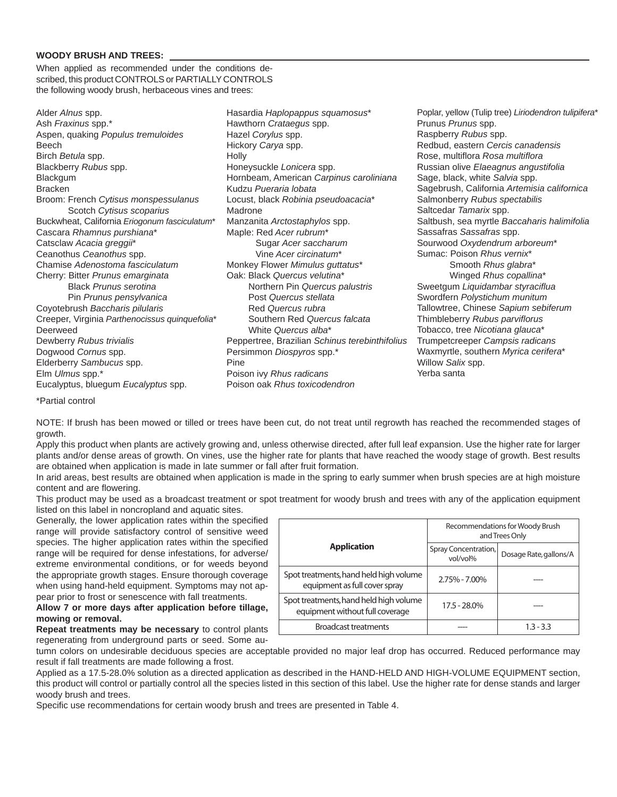### **WOODY BRUSH AND TREES:**

When applied as recommended under the conditions described, this product CONTROLS or PARTIALLY CONTROLS the following woody brush, herbaceous vines and trees:

Alder *Alnus* spp. Ash *Fraxinus* spp.\* Aspen, quaking *Populus tremuloides* Beech Birch *Betula* spp. Blackberry *Rubus* spp. Blackgum Bracken Broom: French *Cytisus monspessulanus* Scotch *Cytisus scoparius* Buckwheat, California *Eriogonum fasciculatum*\* Cascara *Rhamnus purshiana*\* Catsclaw *Acacia greggii*\* Ceanothus *Ceanothus* spp. Chamise *Adenostoma fasciculatum* Cherry: Bitter *Prunus emarginata* Black *Prunus serotina* Pin *Prunus pensylvanica* Coyotebrush *Baccharis pilularis* Creeper, Virginia *Parthenocissus quinquefolia*\* Deerweed Dewberry *Rubus trivialis* Dogwood *Cornus* spp. Elderberry *Sambucus* spp. Elm *Ulmus* spp.\* Eucalyptus, bluegum *Eucalyptus* spp.

Hasardia *Haplopappus squamosus*\* Hawthorn *Crataegus* spp. Hazel *Corylus* spp. Hickory *Carya* spp. Holly Honeysuckle *Lonicera* spp. Hornbeam, American *Carpinus caroliniana* Kudzu *Pueraria lobata* Locust, black *Robinia pseudoacacia*\* Madrone Manzanita *Arctostaphylos* spp. Maple: Red *Acer rubrum*\* Sugar *Acer saccharum* Vine *Acer circinatum*\* Monkey Flower *Mimulus guttatus*\* Oak: Black *Quercus velutina*\* Northern Pin *Quercus palustris* Post *Quercus stellata* Red *Quercus rubra* Southern Red *Quercus falcata* White *Quercus alba*\* Peppertree, Brazilian *Schinus terebinthifolius* Persimmon *Diospyros* spp.\* Pine Poison ivy *Rhus radicans* Poison oak *Rhus toxicodendron*

Poplar, yellow (Tulip tree) *Liriodendron tulipifera*\* Prunus *Prunus* spp. Raspberry *Rubus* spp. Redbud, eastern *Cercis canadensis* Rose, multifl ora *Rosa multifl ora* Russian olive *Elaeagnus angustifolia* Sage, black, white *Salvia* spp. Sagebrush, California *Artemisia californica* Salmonberry *Rubus spectabilis* Saltcedar *Tamarix* spp. Saltbush, sea myrtle *Baccaharis halimifolia* Sassafras *Sassafras* spp. Sourwood *Oxydendrum arboreum*\* Sumac: Poison *Rhus vernix*\* Smooth *Rhus glabra*\* Winged *Rhus copallina*\* Sweetgum *Liquidambar styraciflua* Swordfern *Polystichum munitum* Tallowtree, Chinese *Sapium sebiferum* Thimbleberry *Rubus parvifl orus* Tobacco, tree *Nicotiana glauca*\* Trumpetcreeper *Campsis radicans* Waxmyrtle, southern *Myrica cerifera*\* Willow *Salix* spp. Yerba santa

\*Partial control

NOTE: If brush has been mowed or tilled or trees have been cut, do not treat until regrowth has reached the recommended stages of growth.

Apply this product when plants are actively growing and, unless otherwise directed, after full leaf expansion. Use the higher rate for larger plants and/or dense areas of growth. On vines, use the higher rate for plants that have reached the woody stage of growth. Best results are obtained when application is made in late summer or fall after fruit formation.

In arid areas, best results are obtained when application is made in the spring to early summer when brush species are at high moisture content and are flowering.

This product may be used as a broadcast treatment or spot treatment for woody brush and trees with any of the application equipment listed on this label in noncropland and aquatic sites.

Generally, the lower application rates within the specified range will provide satisfactory control of sensitive weed species. The higher application rates within the specified range will be required for dense infestations, for adverse/ extreme environmental conditions, or for weeds beyond the appropriate growth stages. Ensure thorough coverage when using hand-held equipment. Symptoms may not appear prior to frost or senescence with fall treatments.

### **Allow 7 or more days after application before tillage, mowing or removal.**

**Repeat treatments may be necessary** to control plants regenerating from underground parts or seed. Some au-

|                                                                           | Recommendations for Woody Brush<br>and Trees Only |                        |  |  |
|---------------------------------------------------------------------------|---------------------------------------------------|------------------------|--|--|
| <b>Application</b>                                                        | Spray Concentration,<br>vol/vol%                  | Dosage Rate, gallons/A |  |  |
| Spot treatments, hand held high volume<br>equipment as full cover spray   | 2.75% - 7.00%                                     |                        |  |  |
| Spot treatments, hand held high volume<br>equipment without full coverage | 17.5 - 28.0%                                      |                        |  |  |
| <b>Broadcast treatments</b>                                               |                                                   | $1.3 - 3.3$            |  |  |

tumn colors on undesirable deciduous species are acceptable provided no major leaf drop has occurred. Reduced performance may result if fall treatments are made following a frost.

Applied as a 17.5-28.0% solution as a directed application as described in the HAND-HELD AND HIGH-VOLUME EQUIPMENT section, this product will control or partially control all the species listed in this section of this label. Use the higher rate for dense stands and larger woody brush and trees.

Specific use recommendations for certain woody brush and trees are presented in Table 4.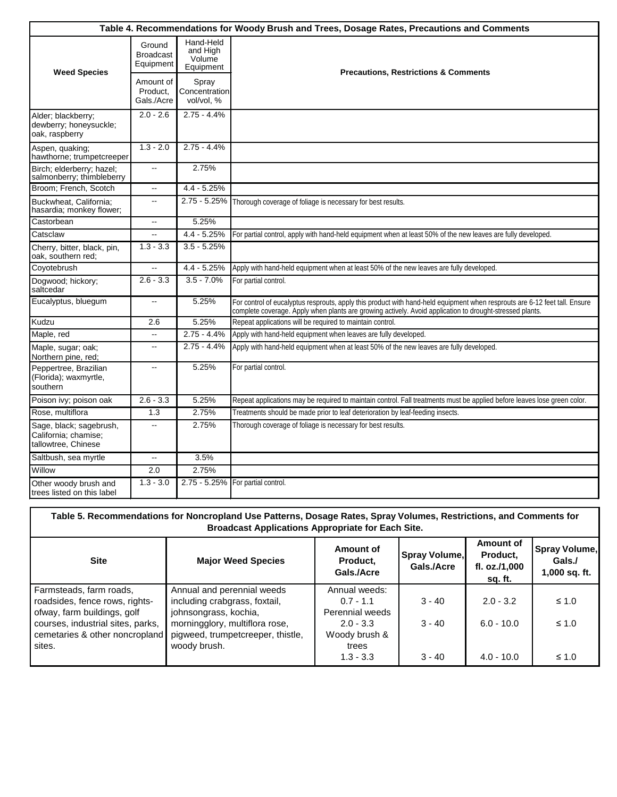|                                                                        |                                         |                                              | Table 4. Recommendations for Woody Brush and Trees, Dosage Rates, Precautions and Comments                                                                                                                                             |
|------------------------------------------------------------------------|-----------------------------------------|----------------------------------------------|----------------------------------------------------------------------------------------------------------------------------------------------------------------------------------------------------------------------------------------|
| <b>Weed Species</b>                                                    | Ground<br><b>Broadcast</b><br>Equipment | Hand-Held<br>and High<br>Volume<br>Equipment | <b>Precautions, Restrictions &amp; Comments</b>                                                                                                                                                                                        |
|                                                                        | Amount of<br>Product.<br>Gals./Acre     | Spray<br>Concentration<br>vol/vol, %         |                                                                                                                                                                                                                                        |
| Alder; blackberry;<br>dewberry; honeysuckle;<br>oak, raspberry         | $2.0 - 2.6$                             | $2.75 - 4.4%$                                |                                                                                                                                                                                                                                        |
| Aspen, quaking;<br>hawthorne; trumpetcreeper                           | $1.3 - 2.0$                             | $2.75 - 4.4%$                                |                                                                                                                                                                                                                                        |
| Birch; elderberry; hazel;<br>salmonberry; thimbleberry                 | $\mathbf{u}$                            | 2.75%                                        |                                                                                                                                                                                                                                        |
| Broom; French, Scotch                                                  | $\overline{\phantom{a}}$                | $4.4 - 5.25%$                                |                                                                                                                                                                                                                                        |
| Buckwheat. California:<br>hasardia; monkey flower;                     | $\overline{a}$                          | 2.75 - 5.25%                                 | Thorough coverage of foliage is necessary for best results.                                                                                                                                                                            |
| Castorbean                                                             | $\overline{\phantom{a}}$                | 5.25%                                        |                                                                                                                                                                                                                                        |
| Catsclaw                                                               |                                         | $4.4 - 5.25%$                                | For partial control, apply with hand-held equipment when at least 50% of the new leaves are fully developed.                                                                                                                           |
| Cherry, bitter, black, pin,<br>oak, southern red;                      | $1.3 - 3.3$                             | $3.5 - 5.25%$                                |                                                                                                                                                                                                                                        |
| Coyotebrush                                                            | Ξ.                                      | $4.4 - 5.25%$                                | Apply with hand-held equipment when at least 50% of the new leaves are fully developed.                                                                                                                                                |
| Dogwood; hickory;<br>saltcedar                                         | $2.6 - 3.3$                             | $3.5 - 7.0%$                                 | For partial control.                                                                                                                                                                                                                   |
| Eucalyptus, bluegum                                                    | щ,                                      | 5.25%                                        | For control of eucalyptus resprouts, apply this product with hand-held equipment when resprouts are 6-12 feet tall. Ensure<br>complete coverage. Apply when plants are growing actively. Avoid application to drought-stressed plants. |
| Kudzu                                                                  | 2.6                                     | 5.25%                                        | Repeat applications will be required to maintain control.                                                                                                                                                                              |
| Maple, red                                                             | Ξ.                                      | $2.75 - 4.4%$                                | Apply with hand-held equipment when leaves are fully developed.                                                                                                                                                                        |
| Maple, sugar; oak;<br>Northern pine, red;                              | $\overline{a}$                          | $2.75 - 4.4%$                                | Apply with hand-held equipment when at least 50% of the new leaves are fully developed.                                                                                                                                                |
| Peppertree, Brazilian<br>(Florida); waxmyrtle,<br>southern             | --                                      | 5.25%                                        | For partial control.                                                                                                                                                                                                                   |
| Poison ivy; poison oak                                                 | $2.6 - 3.3$                             | 5.25%                                        | Repeat applications may be required to maintain control. Fall treatments must be applied before leaves lose green color.                                                                                                               |
| Rose, multiflora                                                       | 1.3                                     | 2.75%                                        | Treatments should be made prior to leaf deterioration by leaf-feeding insects.                                                                                                                                                         |
| Sage, black; sagebrush,<br>California; chamise;<br>tallowtree, Chinese |                                         | 2.75%                                        | Thorough coverage of foliage is necessary for best results.                                                                                                                                                                            |
| Saltbush, sea myrtle                                                   | Ξ.                                      | 3.5%                                         |                                                                                                                                                                                                                                        |
| Willow                                                                 | 2.0                                     | 2.75%                                        |                                                                                                                                                                                                                                        |
| Other woody brush and<br>trees listed on this label                    | $1.3 - 3.0$                             |                                              | 2.75 - 5.25% For partial control.                                                                                                                                                                                                      |

|                                   | Table 5. Recommendations for Noncropland Use Patterns, Dosage Rates, Spray Volumes, Restrictions, and Comments for<br><b>Broadcast Applications Appropriate for Each Site.</b> |                                     |                             |                                                   |                                          |
|-----------------------------------|--------------------------------------------------------------------------------------------------------------------------------------------------------------------------------|-------------------------------------|-----------------------------|---------------------------------------------------|------------------------------------------|
| <b>Site</b>                       | <b>Major Weed Species</b>                                                                                                                                                      | Amount of<br>Product.<br>Gals./Acre | Spray Volume,<br>Gals./Acre | Amount of<br>Product,<br>fl. oz./1,000<br>sq. ft. | Spray Volume,<br>Gals./<br>1,000 sq. ft. |
| Farmsteads, farm roads,           | Annual and perennial weeds                                                                                                                                                     | Annual weeds:                       |                             |                                                   |                                          |
| roadsides, fence rows, rights-    | including crabgrass, foxtail,                                                                                                                                                  | $0.7 - 1.1$                         | $3 - 40$                    | $2.0 - 3.2$                                       | $\leq 1.0$                               |
| ofway, farm buildings, golf       | johnsongrass, kochia,                                                                                                                                                          | Perennial weeds                     |                             |                                                   |                                          |
| courses, industrial sites, parks, | morningglory, multiflora rose,                                                                                                                                                 | $2.0 - 3.3$                         | $3 - 40$                    | $6.0 - 10.0$                                      | $\leq 1.0$                               |
| cemetaries & other noncropland    | pigweed, trumpetcreeper, thistle,                                                                                                                                              | Woody brush &                       |                             |                                                   |                                          |
| sites.                            | woody brush.                                                                                                                                                                   | trees                               |                             |                                                   |                                          |
|                                   |                                                                                                                                                                                | $1.3 - 3.3$                         | $3 - 40$                    | $4.0 - 10.0$                                      | $\leq 1.0$                               |